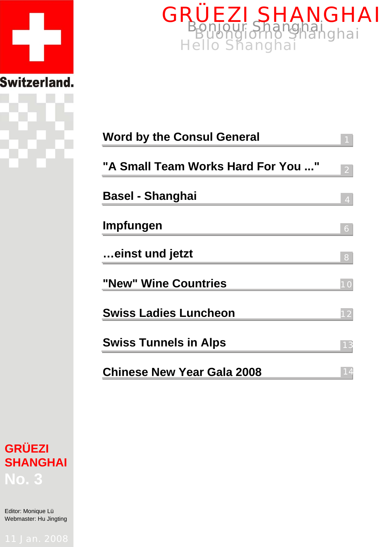



| <b>Word by the Consul General</b>  |    |
|------------------------------------|----|
| "A Small Team Works Hard For You " |    |
| <b>Basel - Shanghai</b>            |    |
| Impfungen                          | 6  |
| einst und jetzt                    | 8  |
| "New" Wine Countries               | 10 |
| <b>Swiss Ladies Luncheon</b>       | 12 |
| <b>Swiss Tunnels in Alps</b>       |    |
| <b>Chinese New Year Gala 2008</b>  |    |



Editor: Monique Lü Webmaster: Hu Jingting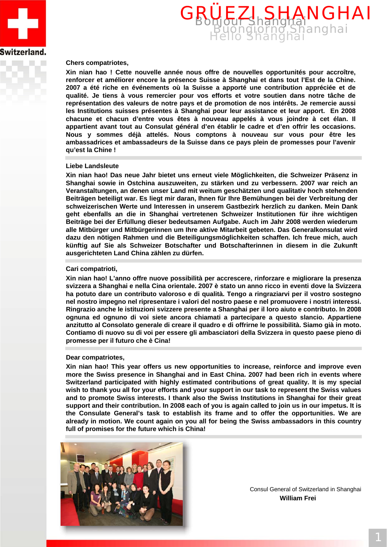



### **Chers compatriotes,**

**Xin nian hao ! Cette nouvelle année nous offre de nouvelles opportunités pour accroître, renforcer et améliorer encore la présence Suisse à Shanghai et dans tout l'Est de la Chine. 2007 a été riche en événements où la Suisse a apporté une contribution appréciée et de qualité. Je tiens à vous remercier pour vos efforts et votre soutien dans notre tâche de représentation des valeurs de notre pays et de promotion de nos intérêts. Je remercie aussi les Institutions suisses présentes à Shanghai pour leur assistance et leur apport. En 2008 chacune et chacun d'entre vous êtes à nouveau appelés à vous joindre à cet élan. Il appartient avant tout au Consulat général d'en établir le cadre et d'en offrir les occasions. Nous y sommes déjà attelés. Nous comptons à nouveau sur vous pour être les ambassadrices et ambassadeurs de la Suisse dans ce pays plein de promesses pour l'avenir qu'est la Chine !**

#### **Liebe Landsleute**

**Xin nian hao! Das neue Jahr bietet uns erneut viele Möglichkeiten, die Schweizer Präsenz in Shanghai sowie in Ostchina auszuweiten, zu stärken und zu verbessern. 2007 war reich an Veranstaltungen, an denen unser Land mit weitum geschätzten und qualitativ hoch stehenden Beiträgen beteiligt war. Es liegt mir daran, Ihnen für Ihre Bemühungen bei der Verbreitung der schweizerischen Werte und Interessen in unserem Gastbezirk herzlich zu danken. Mein Dank geht ebenfalls an die in Shanghai vertretenen Schweizer Institutionen für ihre wichtigen Beiträge bei der Erfüllung dieser bedeutsamen Aufgabe. Auch im Jahr 2008 werden wiederum alle Mitbürger und Mitbürgerinnen um Ihre aktive Mitarbeit gebeten. Das Generalkonsulat wird dazu den nötigen Rahmen und die Beteiligungsmöglichkeiten schaffen. Ich freue mich, auch künftig auf Sie als Schweizer Botschafter und Botschafterinnen in diesem in die Zukunft ausgerichteten Land China zählen zu dürfen.** 

### **Cari compatrioti,**

**Xin nian hao! L'anno offre nuove possibilità per accrescere, rinforzare e migliorare la presenza svizzera a Shanghai e nella Cina orientale. 2007 è stato un anno ricco in eventi dove la Svizzera ha potuto dare un contributo valoroso e di qualità. Tengo a ringraziarvi per il vostro sostegno nel nostro impegno nel ripresentare i valori del nostro paese e nel promuovere i nostri interessi. Ringrazio anche le istituzioni svizzere presente a Shanghai per il loro aiuto e contributo. In 2008 ognuna ed ognuno di voi siete ancora chiamati a partecipare a questo slancio. Appartiene anzitutto al Consolato generale di creare il quadro e di offrirne le possibilità. Siamo già in moto. Contiamo di nuovo su di voi per essere gli ambasciatori della Svizzera in questo paese pieno di promesse per il futuro che è Cina!**

#### **Dear compatriotes,**

**Xin nian hao! This year offers us new opportunities to increase, reinforce and improve even more the Swiss presence in Shanghai and in East China. 2007 had been rich in events where Switzerland participated with highly estimated contributions of great quality. It is my special wish to thank you all for your efforts and your support in our task to represent the Swiss values and to promote Swiss interests. I thank also the Swiss Institutions in Shanghai for their great support and their contribution. In 2008 each of you is again called to join us in our impetus. It is the Consulate General's task to establish its frame and to offer the opportunities. We are already in motion. We count again on you all for being the Swiss ambassadors in this country full of promises for the future which is China!** 



Consul General of Switzerland in Shanghai **William Frei**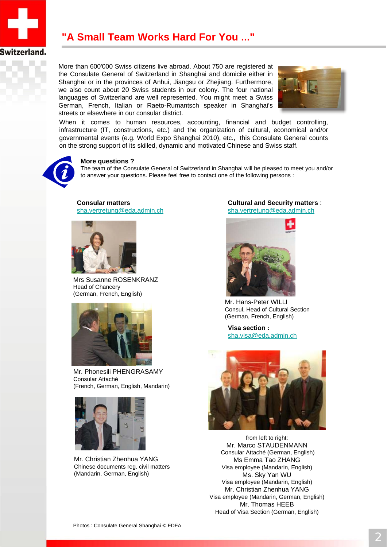

## **"A Small Team Works Hard For You ..."**

More than 600'000 Swiss citizens live abroad. About 750 are registered at the Consulate General of Switzerland in Shanghai and domicile either in Shanghai or in the provinces of Anhui, Jiangsu or Zhejiang. Furthermore, we also count about 20 Swiss students in our colony. The four national languages of Switzerland are well represented. You might meet a Swiss German, French, Italian or Raeto-Rumantsch speaker in Shanghai's streets or elsewhere in our consular district.



When it comes to human resources, accounting, financial and budget controlling, infrastructure (IT, constructions, etc.) and the organization of cultural, economical and/or governmental events (e.g. World Expo Shanghai 2010), etc., this Consulate General counts on the strong support of its skilled, dynamic and motivated Chinese and Swiss staff.



### **More questions ?**

The team of the Consulate General of Switzerland in Shanghai will be pleased to meet you and/or to answer your questions. Please feel free to contact one of the following persons :

**Consular matters**  sha.vertretung@eda.admin.ch



Mrs Susanne ROSENKRANZ Head of Chancery (German, French, English)



Mr. Phonesili PHENGRASAMY Consular Attaché (French, German, English, Mandarin)



Mr. Christian Zhenhua YANG Chinese documents reg. civil matters (Mandarin, German, English)

### **Cultural and Security matters** : sha.vertretung@eda.admin.ch



Mr. Hans-Peter WILLI Consul, Head of Cultural Section (German, French, English)

**Visa section :** sha.visa@eda.admin.ch



from left to right: Mr. Marco STAUDENMANN Consular Attaché (German, English) Ms Emma Tao ZHANG Visa employee (Mandarin, English) Ms. Sky Yan WU Visa employee (Mandarin, English) Mr. Christian Zhenhua YANG Visa employee (Mandarin, German, English) Mr. Thomas HEEB Head of Visa Section (German, English)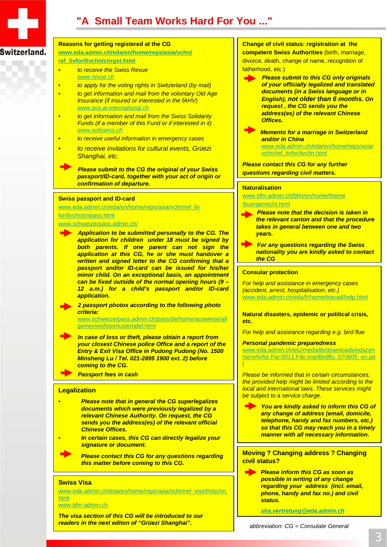

## Switzerland.

## **Reasons for getting registered at the CG**

**www.eda.admin.ch/eda/en/home/reps/asia/vchn/**

- **ref\_livfor/livchn/cnrgst.html**
- *to receive the Swiss Revue*
	- *www.revue.ch*
	- *to apply for the voting rights in Switzerland (by mail)*
	- *to get information and mail from the volontary Old Age Insurance (if insured or interested in the fAHV) www.avs-ai-international.ch*
	- *to get information and mail from the Swiss Solidarity Funds (if a member of this Fund or if interested in it) www.soliswiss.ch*
- *to receive useful information in emergency cases*
- *to receive invitations for cultural events, Grüezi Shanghai, etc.*

*Please submit to the CG the original of your Swiss passport/ID-card, together with your act of origin or confirmation of departure.*

### **Swiss passport and ID-card**

www.eda.admin.ch/eda/en/home/reps/asia/vchn/ref\_liv for/livchn/cnpass.html

#### www.schweizerpass.admin.ch/

*Application to be submitted personally to the CG. The application for children under 18 must be signed by both parents. If one parent can not sign the application at this CG, he or she must handover a written and signed letter to the CG confirming that a passport and/or ID-card can be issued for his/her minor child. On an exceptional basis, an appointment can be fixed outside of the normal opening hours (9 – 12 a.m.) for a child's passport and/or ID-card application.*

*2 passport photos according to the following photo criteria:*

www.schweizerpass.admin.ch/pass/de/home/ausweise/all gemeines/fotomustertafel.html

*In case of loss or theft, please obtain a report from your closest Chinese police Office and a report of the Entry & Exit Visa Office in Pudong Pudong (No. 1500 Minsheng Lu / Tel. 021-2895 1900 ext. 2) before coming to the CG.*

*Passport fees in cash*

### **Legalization**

- *Please note that in general the CG superlegalizes documents which were previously legalized by a relevant Chinese Authority. On request, the CG sends you the address(es) of the relevant official Chinese Offices.*
- *In certain cases, this CG can directly legalize your signature or document.*
	- *Please contact this CG for any questions regarding this matter before coming to this CG.*

#### **Swiss Visa**

www.eda.admin.ch/eda/en/home/reps/asia/vchn/ref\_visinf/vischn. html

www.bfm.admin.ch

*The visa section of this CG will be introduced to our readers in the next editon of "Grüezi Shanghai".*

### **Change of civil status: registration at the competent Swiss Authorities** (birth, marriage,

divorce, death, change of name, recognition of fatherhood, etc.)

- *Please submit to this CG only originals of your officially legalized and translated documents (in a Swiss language or in English), not older than 6 months. On request , the CG sends you the address(es) of the relevant Chinese Offices.*
- *Memento for a marriage in Switzerland and/or in China*

*www.eda.admin.ch/eda/en/home/reps/asia/ vchn/ref\_livfor/livchn.html*

*Please contact this CG for any further questions regarding civil matters.*

#### **Naturalisation**

www.bfm.admin.ch/bfm/en/home/theme /buergerrecht.html

*Please note that the decision is taken in the relevant canton and that the procedure takes in general between one and two years.*

*For any questions regarding the Swiss nationality you are kindly asked to contact the CG*

### **Consular protection**

*For help and assistance in emergency cases (accident, arrest, hospitalisation, etc.)* www.eda.admin.ch/eda/fr/home/travad/help.html

**Natural disasters, epidemic or political crisis, etc.**

*For help and assistance regarding e.g. bird flue*

#### *Personal pandemic preparedness*

www.eda.admin.ch/etc/medialib/downloads/edazen /serv/livfor.Par.0011.File.tmp/Birdflu\_070605\_er f

*Please be informed that in certain circumstances, the provided help might be limited according to the local and international laws. These services might be subject to a service charge.*

*You are kindly asked to inform this CG of any change of address (email, domicile, telephone, handy and fax numbers, etc.) so that this CG may reach you in a timely manner with all necessary information.* 

**Moving ? Changing address ? Changing civil status?**

*Please inform this CG as soon as possible in writing of any change regarding your address (incl. email, phone, handy and fax no.) and civil status.*

*sha.vertretung@eda.admin.ch*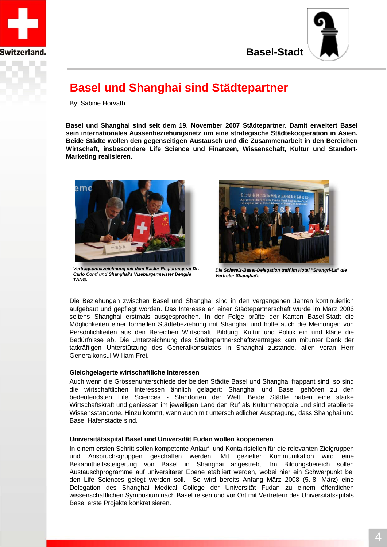



## **Basel und Shanghai sind Städtepartner**

By: Sabine Horvath

**Basel und Shanghai sind seit dem 19. November 2007 Städtepartner. Damit erweitert Basel sein internationales Aussenbeziehungsnetz um eine strategische Städtekooperation in Asien. Beide Städte wollen den gegenseitigen Austausch und die Zusammenarbeit in den Bereichen Wirtschaft, insbesondere Life Science und Finanzen, Wissenschaft, Kultur und Standort-Marketing realisieren.**



*Vertragsunterzeichnung mit dem Basler Regierungsrat Dr. Carlo Conti und Shanghai's Vizebürgermeister Dengjie TANG.*



*Die Schweiz-Basel-Delegation traff im Hotel "Shangri-La" die Vertreter Shanghai's*

Die Beziehungen zwischen Basel und Shanghai sind in den vergangenen Jahren kontinuierlich aufgebaut und gepflegt worden. Das Interesse an einer Städtepartnerschaft wurde im März 2006 seitens Shanghai erstmals ausgesprochen. In der Folge prüfte der Kanton Basel-Stadt die Möglichkeiten einer formellen Städtebeziehung mit Shanghai und holte auch die Meinungen von Persönlichkeiten aus den Bereichen Wirtschaft, Bildung, Kultur und Politik ein und klärte die Bedürfnisse ab. Die Unterzeichnung des Städtepartnerschaftsvertrages kam mitunter Dank der tatkräftigen Unterstützung des Generalkonsulates in Shanghai zustande, allen voran Herr Generalkonsul William Frei.

## **Gleichgelagerte wirtschaftliche Interessen**

Auch wenn die Grössenunterschiede der beiden Städte Basel und Shanghai frappant sind, so sind die wirtschaftlichen Interessen ähnlich gelagert: Shanghai und Basel gehören zu den bedeutendsten Life Sciences - Standorten der Welt. Beide Städte haben eine starke Wirtschaftskraft und geniessen im jeweiligen Land den Ruf als Kulturmetropole und sind etablierte Wissensstandorte. Hinzu kommt, wenn auch mit unterschiedlicher Ausprägung, dass Shanghai und Basel Hafenstädte sind.

## **Universitätsspital Basel und Universität Fudan wollen kooperieren**

In einem ersten Schritt sollen kompetente Anlauf- und Kontaktstellen für die relevanten Zielgruppen und Anspruchsgruppen geschaffen werden. Mit gezielter Kommunikation wird eine Bekanntheitssteigerung von Basel in Shanghai angestrebt. Im Bildungsbereich sollen Austauschprogramme auf universitärer Ebene etabliert werden, wobei hier ein Schwerpunkt bei den Life Sciences gelegt werden soll. So wird bereits Anfang März 2008 (5.-8. März) eine Delegation des Shanghai Medical College der Universität Fudan zu einem öffentlichen wissenschaftlichen Symposium nach Basel reisen und vor Ort mit Vertretern des Universitätsspitals Basel erste Projekte konkretisieren.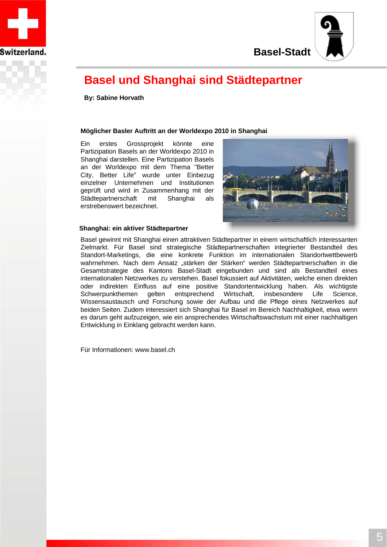



# **Basel und Shanghai sind Städtepartner**

**By: Sabine Horvath**

## **Möglicher Basler Auftritt an der Worldexpo 2010 in Shanghai**

Ein erstes Grossprojekt könnte eine Partizipation Basels an der Worldexpo 2010 in Shanghai darstellen. Eine Partizipation Basels an der Worldexpo mit dem Thema "Better City, Better Life" wurde unter Einbezug einzelner Unternehmen und Institutionen geprüft und wird in Zusammenhang mit der Städtepartnerschaft mit Shanghai als erstrebenswert bezeichnet.



## **Shanghai: ein aktiver Städtepartner**

Basel gewinnt mit Shanghai einen attraktiven Städtepartner in einem wirtschaftlich interessanten Zielmarkt. Für Basel sind strategische Städtepartnerschaften integrierter Bestandteil des Standort-Marketings, die eine konkrete Funktion im internationalen Standortwettbewerb wahrnehmen. Nach dem Ansatz "stärken der Stärken" werden Städtepartnerschaften in die Gesamtstrategie des Kantons Basel-Stadt eingebunden und sind als Bestandteil eines internationalen Netzwerkes zu verstehen. Basel fokussiert auf Aktivitäten, welche einen direkten oder indirekten Einfluss auf eine positive Standortentwicklung haben. Als wichtigste Schwerpunkthemen gelten entsprechend Wirtschaft, insbesondere Life Science, Wissensaustausch und Forschung sowie der Aufbau und die Pflege eines Netzwerkes auf beiden Seiten. Zudem interessiert sich Shanghai für Basel im Bereich Nachhaltigkeit, etwa wenn es darum geht aufzuzeigen, wie ein ansprechendes Wirtschaftswachstum mit einer nachhaltigen Entwicklung in Einklang gebracht werden kann.

Für Informationen: www.basel.ch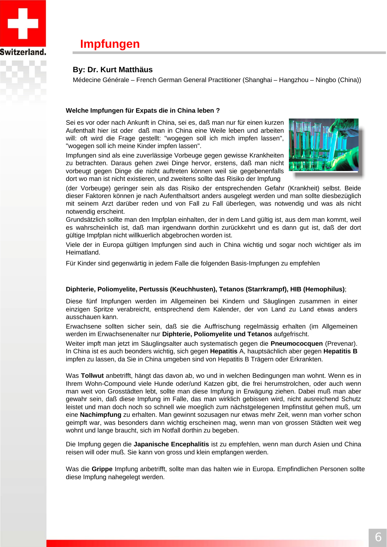

## **Impfungen**

## **By: Dr. Kurt Matthäus**

Médecine Générale – French German General Practitioner (Shanghai – Hangzhou – Ningbo (China))

## **Welche Impfungen für Expats die in China leben ?**

Sei es vor oder nach Ankunft in China, sei es, daß man nur für einen kurzen Aufenthalt hier ist oder daß man in China eine Weile leben und arbeiten will: oft wird die Frage gestellt: "wogegen soll ich mich impfen lassen", "wogegen soll ich meine Kinder impfen lassen".

Impfungen sind als eine zuverlässige Vorbeuge gegen gewisse Krankheiten zu betrachten. Daraus gehen zwei Dinge hervor, erstens, daß man nicht vorbeugt gegen Dinge die nicht auftreten können weil sie gegebenenfalls dort wo man ist nicht existieren, und zweitens sollte das Risiko der Impfung



(der Vorbeuge) geringer sein als das Risiko der entsprechenden Gefahr (Krankheit) selbst. Beide dieser Faktoren können je nach Aufenthaltsort anders ausgelegt werden und man sollte diesbezüglich mit seinem Arzt darüber reden und von Fall zu Fall überlegen, was notwendig und was als nicht notwendig erscheint.

Grundsätzlich sollte man den Impfplan einhalten, der in dem Land gültig ist, aus dem man kommt, weil es wahrscheinlich ist, daß man irgendwann dorthin zurückkehrt und es dann gut ist, daß der dort gültige Impfplan nicht willkuerlich abgebrochen worden ist.

Viele der in Europa gültigen Impfungen sind auch in China wichtig und sogar noch wichtiger als im Heimatland.

Für Kinder sind gegenwärtig in jedem Falle die folgenden Basis-Impfungen zu empfehlen

## **Diphterie, Poliomyelite, Pertussis (Keuchhusten), Tetanos (Starrkrampf), HIB (Hemophilus)**;

Diese fünf Impfungen werden im Allgemeinen bei Kindern und Säuglingen zusammen in einer einzigen Spritze verabreicht, entsprechend dem Kalender, der von Land zu Land etwas anders ausschauen kann.

Erwachsene sollten sicher sein, daß sie die Auffrischung regelmässig erhalten (im Allgemeinen werden im Erwachsenenalter nur **Diphterie, Poliomyelite und Tetanos** aufgefrischt.

Weiter impft man jetzt im Säuglingsalter auch systematisch gegen die **Pneumococquen** (Prevenar). In China ist es auch beonders wichtig, sich gegen **Hepatitis** A, hauptsächlich aber gegen **Hepatitis B** impfen zu lassen, da Sie in China umgeben sind von Hepatitis B Trägern oder Erkrankten.

Was **Tollwut** anbetrifft, hängt das davon ab, wo und in welchen Bedingungen man wohnt. Wenn es in Ihrem Wohn-Compound viele Hunde oder/und Katzen gibt, die frei herumstrolchen, oder auch wenn man weit von Grosstädten lebt, sollte man diese Impfung in Erwägung ziehen. Dabei muß man aber gewahr sein, daß diese Impfung im Falle, das man wirklich gebissen wird, nicht ausreichend Schutz leistet und man doch noch so schnell wie moeglich zum nächstgelegenen Impfinstitut gehen muß, um eine **Nachimpfung** zu erhalten. Man gewinnt sozusagen nur etwas mehr Zeit, wenn man vorher schon geimpft war, was besonders dann wichtig erscheinen mag, wenn man von grossen Städten weit weg wohnt und lange braucht, sich im Notfall dorthin zu begeben.

Die Impfung gegen die **Japanische Encephalitis** ist zu empfehlen, wenn man durch Asien und China reisen will oder muß. Sie kann von gross und klein empfangen werden.

Was die **Grippe** Impfung anbetrifft, sollte man das halten wie in Europa. Empfindlichen Personen sollte diese Impfung nahegelegt werden.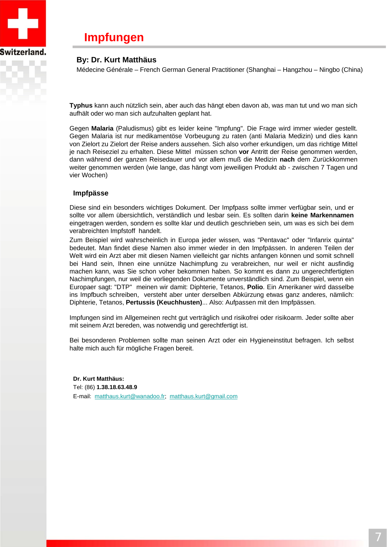

## **Impfungen**

## **By: Dr. Kurt Matthäus**

Médecine Générale – French German General Practitioner (Shanghai – Hangzhou – Ningbo (China)

**Typhus** kann auch nützlich sein, aber auch das hängt eben davon ab, was man tut und wo man sich aufhält oder wo man sich aufzuhalten geplant hat.

Gegen **Malaria** (Paludismus) gibt es leider keine "Impfung". Die Frage wird immer wieder gestellt. Gegen Malaria ist nur medikamentöse Vorbeugung zu raten (anti Malaria Medizin) und dies kann von Zielort zu Zielort der Reise anders aussehen. Sich also vorher erkundigen, um das richtige Mittel je nach Reiseziel zu erhalten. Diese Mittel müssen schon **vor** Antritt der Reise genommen werden, dann während der ganzen Reisedauer und vor allem muß die Medizin **nach** dem Zurückkommen weiter genommen werden (wie lange, das hängt vom jeweiligen Produkt ab - zwischen 7 Tagen und vier Wochen)

## **Impfpässe**

Diese sind ein besonders wichtiges Dokument. Der Impfpass sollte immer verfügbar sein, und er sollte vor allem übersichtlich, verständlich und lesbar sein. Es sollten darin **keine Markennamen** eingetragen werden, sondern es sollte klar und deutlich geschrieben sein, um was es sich bei dem verabreichten Impfstoff handelt.

Zum Beispiel wird wahrscheinlich in Europa jeder wissen, was "Pentavac" oder "Infanrix quinta" bedeutet. Man findet diese Namen also immer wieder in den Impfpässen. In anderen Teilen der Welt wird ein Arzt aber mit diesen Namen vielleicht gar nichts anfangen können und somit schnell bei Hand sein, Ihnen eine unnütze Nachimpfung zu verabreichen, nur weil er nicht ausfindig machen kann, was Sie schon voher bekommen haben. So kommt es dann zu ungerechtfertigten Nachimpfungen, nur weil die vorliegenden Dokumente unverständlich sind. Zum Beispiel, wenn ein Europaer sagt: "DTP" meinen wir damit: Diphterie, Tetanos, **Polio**. Ein Amerikaner wird dasselbe ins Impfbuch schreiben, versteht aber unter derselben Abkürzung etwas ganz anderes, nämlich: Diphterie, Tetanos, **Pertussis (Keuchhusten)**... Also: Aufpassen mit den Impfpässen.

Impfungen sind im Allgemeinen recht gut verträglich und risikofrei oder risikoarm. Jeder sollte aber mit seinem Arzt bereden, was notwendig und gerechtfertigt ist.

Bei besonderen Problemen sollte man seinen Arzt oder ein Hygieneinstitut befragen. Ich selbst halte mich auch für mögliche Fragen bereit.

**Dr. Kurt Matthäus:** Tel: (86) **1.38.18.63.48.9**  E-mail: matthaus.kurt@wanadoo.fr; matthaus.kurt@gmail.com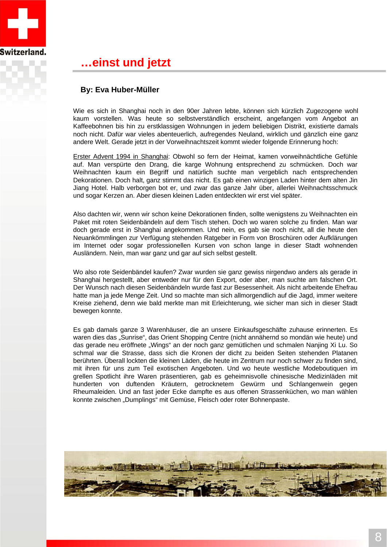

## **…einst und jetzt**

## **By: Eva Huber-Müller**

Wie es sich in Shanghai noch in den 90er Jahren lebte, können sich kürzlich Zugezogene wohl kaum vorstellen. Was heute so selbstverständlich erscheint, angefangen vom Angebot an Kaffeebohnen bis hin zu erstklassigen Wohnungen in jedem beliebigen Distrikt, existierte damals noch nicht. Dafür war vieles abenteuerlich, aufregendes Neuland, wirklich und gänzlich eine ganz andere Welt. Gerade jetzt in der Vorweihnachtszeit kommt wieder folgende Erinnerung hoch:

Erster Advent 1994 in Shanghai: Obwohl so fern der Heimat, kamen vorweihnächtliche Gefühle auf. Man verspürte den Drang, die karge Wohnung entsprechend zu schmücken. Doch war Weihnachten kaum ein Begriff und natürlich suchte man vergeblich nach entsprechenden Dekorationen. Doch halt, ganz stimmt das nicht. Es gab einen winzigen Laden hinter dem alten Jin Jiang Hotel. Halb verborgen bot er, und zwar das ganze Jahr über, allerlei Weihnachtsschmuck und sogar Kerzen an. Aber diesen kleinen Laden entdeckten wir erst viel später.

Also dachten wir, wenn wir schon keine Dekorationen finden, sollte wenigstens zu Weihnachten ein Paket mit roten Seidenbändeln auf dem Tisch stehen. Doch wo waren solche zu finden. Man war doch gerade erst in Shanghai angekommen. Und nein, es gab sie noch nicht, all die heute den Neuankömmlingen zur Verfügung stehenden Ratgeber in Form von Broschüren oder Aufklärungen im Internet oder sogar professionellen Kursen von schon lange in dieser Stadt wohnenden Ausländern. Nein, man war ganz und gar auf sich selbst gestellt.

Wo also rote Seidenbändel kaufen? Zwar wurden sie ganz gewiss nirgendwo anders als gerade in Shanghai hergestellt, aber entweder nur für den Export, oder aber, man suchte am falschen Ort. Der Wunsch nach diesen Seidenbändeln wurde fast zur Besessenheit. Als nicht arbeitende Ehefrau hatte man ja jede Menge Zeit. Und so machte man sich allmorgendlich auf die Jagd, immer weitere Kreise ziehend, denn wie bald merkte man mit Erleichterung, wie sicher man sich in dieser Stadt bewegen konnte.

Es gab damals ganze 3 Warenhäuser, die an unsere Einkaufsgeschäfte zuhause erinnerten. Es waren dies das "Sunrise", das Orient Shopping Centre (nicht annähernd so mondän wie heute) und das gerade neu eröffnete "Wings" an der noch ganz gemütlichen und schmalen Nanjing Xi Lu. So schmal war die Strasse, dass sich die Kronen der dicht zu beiden Seiten stehenden Platanen berührten. Überall lockten die kleinen Läden, die heute im Zentrum nur noch schwer zu finden sind, mit ihren für uns zum Teil exotischen Angeboten. Und wo heute westliche Modeboutiquen im grellen Spotlicht ihre Waren präsentieren, gab es geheimnisvolle chinesische Medizinläden mit hunderten von duftenden Kräutern, getrocknetem Gewürm und Schlangenwein gegen Rheumaleiden. Und an fast jeder Ecke dampfte es aus offenen Strassenküchen, wo man wählen konnte zwischen "Dumplings" mit Gemüse, Fleisch oder roter Bohnenpaste.

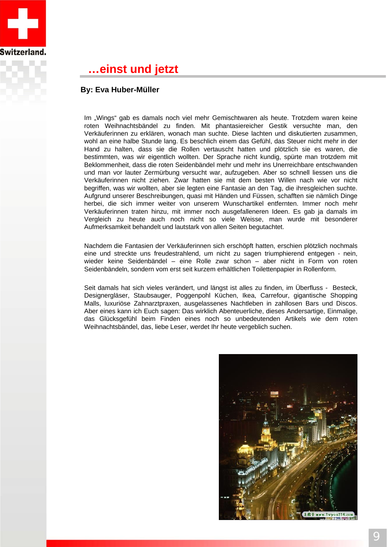

## **…einst und jetzt**

## **By: Eva Huber-Müller**

Im "Wings" gab es damals noch viel mehr Gemischtwaren als heute. Trotzdem waren keine roten Weihnachtsbändel zu finden. Mit phantasiereicher Gestik versuchte man, den Verkäuferinnen zu erklären, wonach man suchte. Diese lachten und diskutierten zusammen, wohl an eine halbe Stunde lang. Es beschlich einem das Gefühl, das Steuer nicht mehr in der Hand zu halten, dass sie die Rollen vertauscht hatten und plötzlich sie es waren, die bestimmten, was wir eigentlich wollten. Der Sprache nicht kundig, spürte man trotzdem mit Beklommenheit, dass die roten Seidenbändel mehr und mehr ins Unerreichbare entschwanden und man vor lauter Zermürbung versucht war, aufzugeben. Aber so schnell liessen uns die Verkäuferinnen nicht ziehen. Zwar hatten sie mit dem besten Willen nach wie vor nicht begriffen, was wir wollten, aber sie legten eine Fantasie an den Tag, die ihresgleichen suchte. Aufgrund unserer Beschreibungen, quasi mit Händen und Füssen, schafften sie nämlich Dinge herbei, die sich immer weiter von unserem Wunschartikel entfernten. Immer noch mehr Verkäuferinnen traten hinzu, mit immer noch ausgefalleneren Ideen. Es gab ja damals im Vergleich zu heute auch noch nicht so viele Weisse, man wurde mit besonderer Aufmerksamkeit behandelt und lautstark von allen Seiten begutachtet.

• 11 Seidenbändeln, sondern vom erst seit kurzem erhältlichen Toilettenpapier in Rollenform. Nachdem die Fantasien der Verkäuferinnen sich erschöpft hatten, erschien plötzlich nochmals eine und streckte uns freudestrahlend, um nicht zu sagen triumphierend entgegen - nein, wieder keine Seidenbändel – eine Rolle zwar schon – aber nicht in Form von roten

Seit damals hat sich vieles verändert, und längst ist alles zu finden, im Überfluss - Besteck, Designergläser, Staubsauger, Poggenpohl Küchen, Ikea, Carrefour, gigantische Shopping Malls, luxuriöse Zahnarztpraxen, ausgelassenes Nachtleben in zahllosen Bars und Discos. Aber eines kann ich Euch sagen: Das wirklich Abenteuerliche, dieses Andersartige, Einmalige, das Glücksgefühl beim Finden eines noch so unbedeutenden Artikels wie dem roten Weihnachtsbändel, das, liebe Leser, werdet Ihr heute vergeblich suchen.

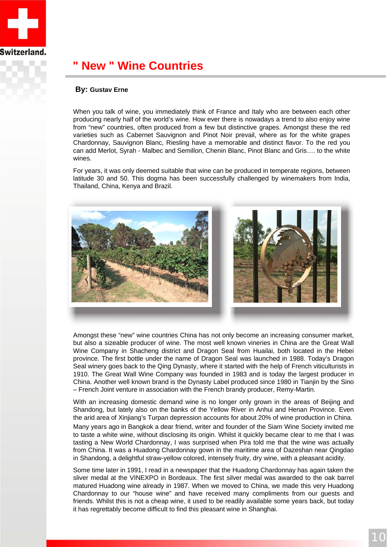

# **" New " Wine Countries**

## **By: Gustav Erne**

When you talk of wine, you immediately think of France and Italy who are between each other producing nearly half of the world's wine. How ever there is nowadays a trend to also enjoy wine from "new" countries, often produced from a few but distinctive grapes. Amongst these the red varieties such as Cabernet Sauvignon and Pinot Noir prevail, where as for the white grapes Chardonnay, Sauvignon Blanc, Riesling have a memorable and distinct flavor. To the red you can add Merlot, Syrah - Malbec and Semillon, Chenin Blanc, Pinot Blanc and Gris…. to the white wines.

For years, it was only deemed suitable that wine can be produced in temperate regions, between latitude 30 and 50. This dogma has been successfully challenged by winemakers from India, Thailand, China, Kenya and Brazil.



Amongst these "new" wine countries China has not only become an increasing consumer market, but also a sizeable producer of wine. The most well known vineries in China are the Great Wall Wine Company in Shacheng district and Dragon Seal from Huailai, both located in the Hebei province. The first bottle under the name of Dragon Seal was launched in 1988. Today's Dragon Seal winery goes back to the Qing Dynasty, where it started with the help of French viticulturists in 1910. The Great Wall Wine Company was founded in 1983 and is today the largest producer in China. Another well known brand is the Dynasty Label produced since 1980 in Tianjin by the Sino – French Joint venture in association with the French brandy producer, Remy-Martin.

With an increasing domestic demand wine is no longer only grown in the areas of Beijing and Shandong, but lately also on the banks of the Yellow River in Anhui and Henan Province. Even the arid area of Xinjiang's Turpan depression accounts for about 20% of wine production in China.

Many years ago in Bangkok a dear friend, writer and founder of the Siam Wine Society invited me to taste a white wine, without disclosing its origin. Whilst it quickly became clear to me that I was tasting a New World Chardonnay, I was surprised when Pira told me that the wine was actually from China. It was a Huadong Chardonnay gown in the maritime area of Dazeshan near Qingdao in Shandong, a delightful straw-yellow colored, intensely fruity, dry wine, with a pleasant acidity.

Some time later in 1991, I read in a newspaper that the Huadong Chardonnay has again taken the sliver medal at the VINEXPO in Bordeaux. The first silver medal was awarded to the oak barrel matured Huadong wine already in 1987. When we moved to China, we made this very Huadong Chardonnay to our "house wine" and have received many compliments from our guests and friends. Whilst this is not a cheap wine, it used to be readily available some years back, but today it has regrettably become difficult to find this pleasant wine in Shanghai.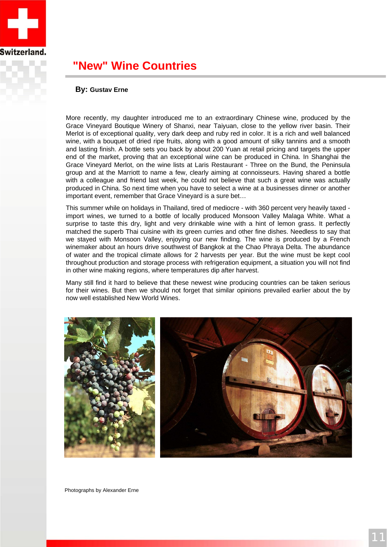

## **"New" Wine Countries**

## **By: Gustav Erne**

More recently, my daughter introduced me to an extraordinary Chinese wine, produced by the Grace Vineyard Boutique Winery of Shanxi, near Taiyuan, close to the yellow river basin. Their Merlot is of exceptional quality, very dark deep and ruby red in color. It is a rich and well balanced wine, with a bouquet of dried ripe fruits, along with a good amount of silky tannins and a smooth and lasting finish. A bottle sets you back by about 200 Yuan at retail pricing and targets the upper end of the market, proving that an exceptional wine can be produced in China. In Shanghai the Grace Vineyard Merlot, on the wine lists at Laris Restaurant - Three on the Bund, the Peninsula group and at the Marriott to name a few, clearly aiming at connoisseurs. Having shared a bottle with a colleague and friend last week, he could not believe that such a great wine was actually produced in China. So next time when you have to select a wine at a businesses dinner or another important event, remember that Grace Vineyard is a sure bet…

This summer while on holidays in Thailand, tired of mediocre - with 360 percent very heavily taxed import wines, we turned to a bottle of locally produced Monsoon Valley Malaga White. What a surprise to taste this dry, light and very drinkable wine with a hint of lemon grass. It perfectly matched the superb Thai cuisine with its green curries and other fine dishes. Needless to say that we stayed with Monsoon Valley, enjoying our new finding. The wine is produced by a French winemaker about an hours drive southwest of Bangkok at the Chao Phraya Delta. The abundance of water and the tropical climate allows for 2 harvests per year. But the wine must be kept cool throughout production and storage process with refrigeration equipment, a situation you will not find in other wine making regions, where temperatures dip after harvest.

Many still find it hard to believe that these newest wine producing countries can be taken serious for their wines. But then we should not forget that similar opinions prevailed earlier about the by now well established New World Wines.





Photographs by Alexander Erne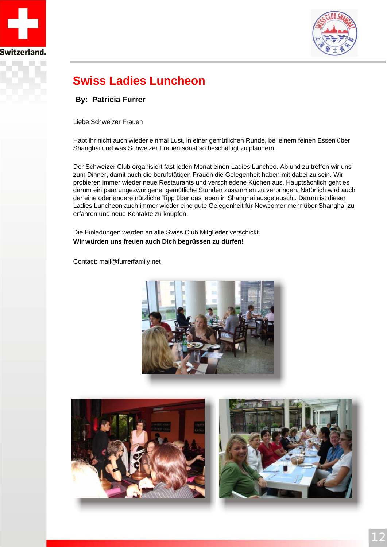



# **Swiss Ladies Luncheon**

## **By: Patricia Furrer**

Liebe Schweizer Frauen

Habt ihr nicht auch wieder einmal Lust, in einer gemütlichen Runde, bei einem feinen Essen über Shanghai und was Schweizer Frauen sonst so beschäftigt zu plaudern.

Der Schweizer Club organisiert fast jeden Monat einen Ladies Luncheo. Ab und zu treffen wir uns zum Dinner, damit auch die berufstätigen Frauen die Gelegenheit haben mit dabei zu sein. Wir probieren immer wieder neue Restaurants und verschiedene Küchen aus. Hauptsächlich geht es darum ein paar ungezwungene, gemütliche Stunden zusammen zu verbringen. Natürlich wird auch der eine oder andere nützliche Tipp über das leben in Shanghai ausgetauscht. Darum ist dieser Ladies Luncheon auch immer wieder eine gute Gelegenheit für Newcomer mehr über Shanghai zu erfahren und neue Kontakte zu knüpfen.

Die Einladungen werden an alle Swiss Club Mitglieder verschickt. **Wir würden uns freuen auch Dich begrüssen zu dürfen!**

Contact: mail@furrerfamily.net



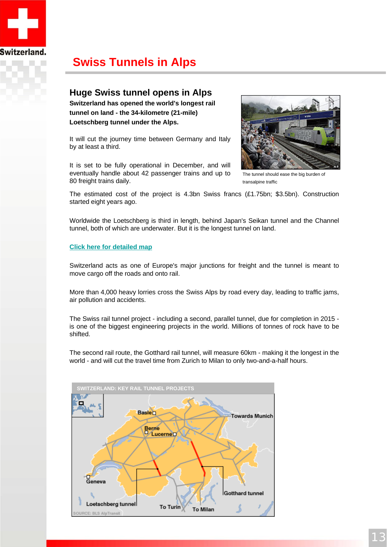

# **Swiss Tunnels in Alps**

## **Huge Swiss tunnel opens in Alps**

**Switzerland has opened the world's longest rail tunnel on land - the 34-kilometre (21-mile) Loetschberg tunnel under the Alps.**

It will cut the journey time between Germany and Italy by at least a third.

It is set to be fully operational in December, and will eventually handle about 42 passenger trains and up to 80 freight trains daily.



The tunnel should ease the big burden of transalpine traffic

The estimated cost of the project is 4.3bn Swiss francs (£1.75bn; \$3.5bn). Construction started eight years ago.

Worldwide the Loetschberg is third in length, behind Japan's Seikan tunnel and the Channel tunnel, both of which are underwater. But it is the longest tunnel on land.

## **Click here for detailed map**

Switzerland acts as one of Europe's major junctions for freight and the tunnel is meant to move cargo off the roads and onto rail.

More than 4,000 heavy lorries cross the Swiss Alps by road every day, leading to traffic jams, air pollution and accidents.

The Swiss rail tunnel project - including a second, parallel tunnel, due for completion in 2015 is one of the biggest engineering projects in the world. Millions of tonnes of rock have to be shifted.

The second rail route, the Gotthard rail tunnel, will measure 60km - making it the longest in the world - and will cut the travel time from Zurich to Milan to only two-and-a-half hours.